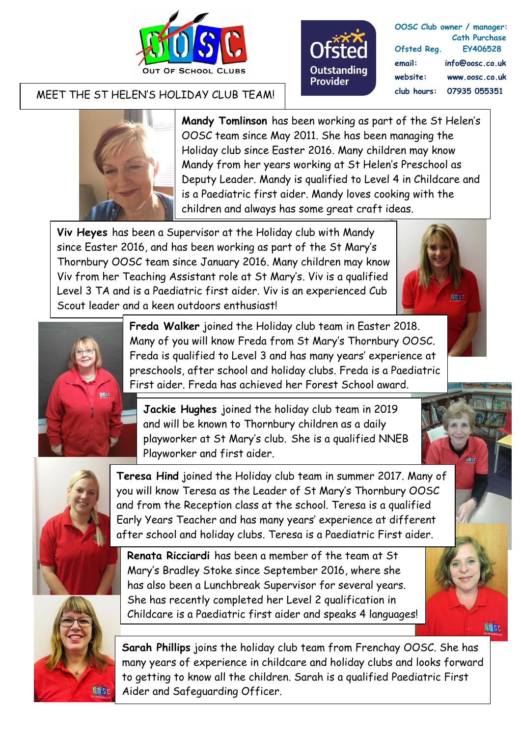



**OOSC Club owner / manager: Cath Purchase Ofsted Reg. EY406528 email: info@oosc.co.uk website: www.oosc.co.uk club hours: 07935 055351**

## MEET THE ST HELEN'S HOLIDAY CLUB TEAM!



**Mandy Tomlinson** has been working as part of the St Helen's OOSC team since May 2011. She has been managing the Holiday club since Easter 2016. Many children may know Mandy from her years working at St Helen's Preschool as Deputy Leader. Mandy is qualified to Level 4 in Childcare and is a Paediatric first aider. Mandy loves cooking with the children and always has some great craft ideas.

**Viv Heyes** has been a Supervisor at the Holiday club with Mandy since Easter 2016, and has been working as part of the St Mary's Thornbury OOSC team since January 2016. Many children may know Viv from her Teaching Assistant role at St Mary's. Viv is a qualified Level 3 TA and is a Paediatric first aider. Viv is an experienced Cub Scout leader and a keen outdoors enthusiast!



**Sids** 



**Freda Walker** joined the Holiday club team in Easter 2018. Many of you will know Freda from St Mary's Thornbury OOSC. Freda is qualified to Level 3 and has many years' experience at preschools, after school and holiday clubs. Freda is a Paediatric First aider. Freda has achieved her Forest School award.

**Jackie Hughes** joined the holiday club team in 2019 and will be known to Thornbury children as a daily playworker at St Mary's club. She is a qualified NNEB Playworker and first aider.



**Teresa Hind** joined the Holiday club team in summer 2017. Many of you will know Teresa as the Leader of St Mary's Thornbury OOSC and from the Reception class at the school. Teresa is a qualified Early Years Teacher and has many years' experience at different after school and holiday clubs. Teresa is a Paediatric First aider.

**ADSC** 

**Renata Ricciardi** has been a member of the team at St Mary's Bradley Stoke since September 2016, where she has also been a Lunchbreak Supervisor for several years. She has recently completed her Level 2 qualification in Childcare is a Paediatric first aider and speaks 4 languages!

**Sarah Phillips** joins the holiday club team from Frenchay OOSC. She has many years of experience in childcare and holiday clubs and looks forward to getting to know all the children. Sarah is a qualified Paediatric First Aider and Safeguarding Officer.